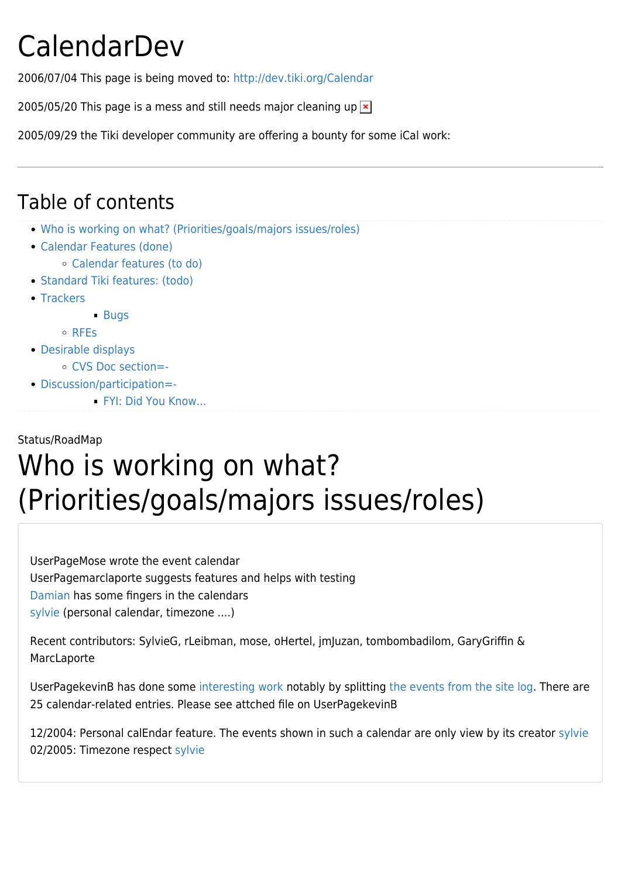## CalendarDev

2006/07/04 This page is being moved to: <http://dev.tiki.org/Calendar>

2005/05/20 This page is a mess and still needs major cleaning up  $\geq$ 

2005/09/29 the Tiki developer community are offering a bounty for some iCal work:

#### Table of contents

- [Who is working on what? \(Priorities/goals/majors issues/roles\)](#page--1-0)
- [Calendar Features \(done\)](#page--1-0)
	- [Calendar features \(to do\)](#page--1-0)
- [Standard Tiki features: \(todo\)](#page--1-0)
- [Trackers](#page--1-0)

**[Bugs](#page--1-0)** 

[RFEs](#page--1-0)

- [Desirable displays](#page--1-0)
	- [CVS Doc section=-](#page--1-0)
- [Discussion/participation=-](#page--1-0)
	- [FYI: Did You Know...](#FYI:_Did_You_Know...)

#### Status/RoadMap

## Who is working on what? (Priorities/goals/majors issues/roles)

UserPageMose wrote the event calendar UserPagemarclaporte suggests features and helps with testing [Damian](https://tiki.org/Damian) has some fingers in the calendars [sylvie](https://tiki.org/sylvie) (personal calendar, timezone ....)

Recent contributors: SylvieG, rLeibman, mose, oHertel, jmJuzan, tombombadilom, GaryGriffin & MarcLaporte

UserPagekevinB has done some [interesting work](http://evergreenleaders.org/elcc/tiki-calendar.php?viewmode=month) notably by splitting [the events from the site log](http://evergreenleaders.org/elcc/tiki-calendar_sitelog.php). There are 25 calendar-related entries. Please see attched file on UserPagekevinB

12/2004: Personal calEndar feature. The events shown in such a calendar are only view by its creator [sylvie](https://tiki.org/sylvie) 02/2005: Timezone respect [sylvie](https://tiki.org/sylvie)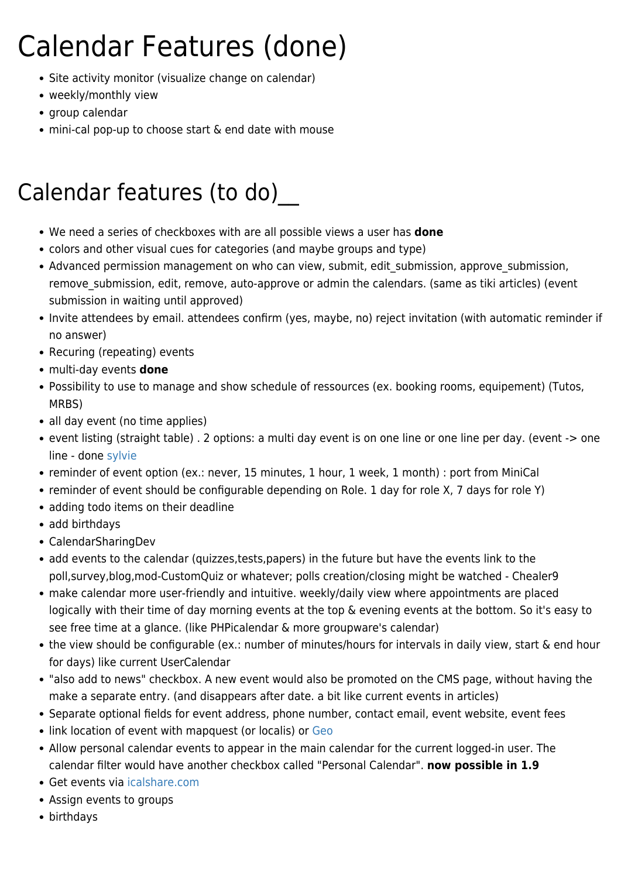# Calendar Features (done)

- Site activity monitor (visualize change on calendar)
- weekly/monthly view
- group calendar
- mini-cal pop-up to choose start & end date with mouse

#### Calendar features (to do)

- We need a series of checkboxes with are all possible views a user has **done**
- colors and other visual cues for categories (and maybe groups and type)
- Advanced permission management on who can view, submit, edit submission, approve submission, remove submission, edit, remove, auto-approve or admin the calendars. (same as tiki articles) (event submission in waiting until approved)
- Invite attendees by email. attendees confirm (yes, maybe, no) reject invitation (with automatic reminder if no answer)
- Recuring (repeating) events
- multi-day events **done**
- Possibility to use to manage and show schedule of ressources (ex. booking rooms, equipement) (Tutos, MRBS)
- all day event (no time applies)
- event listing (straight table) . 2 options: a multi day event is on one line or one line per day. (event -> one line - done [sylvie](https://tiki.org/sylvie)
- reminder of event option (ex.: never, 15 minutes, 1 hour, 1 week, 1 month) : port from MiniCal
- reminder of event should be configurable depending on Role. 1 day for role X, 7 days for role Y)
- adding todo items on their deadline
- add birthdays
- CalendarSharingDev
- add events to the calendar (quizzes,tests,papers) in the future but have the events link to the poll,survey,blog,mod-CustomQuiz or whatever; polls creation/closing might be watched - Chealer9
- make calendar more user-friendly and intuitive. weekly/daily view where appointments are placed logically with their time of day morning events at the top & evening events at the bottom. So it's easy to see free time at a glance. (like PHPicalendar & more groupware's calendar)
- the view should be configurable (ex.: number of minutes/hours for intervals in daily view, start & end hour for days) like current UserCalendar
- "also add to news" checkbox. A new event would also be promoted on the CMS page, without having the make a separate entry. (and disappears after date. a bit like current events in articles)
- Separate optional fields for event address, phone number, contact email, event website, event fees
- link location of event with mapquest (or localis) or [Geo](http://geourl.org/)
- Allow personal calendar events to appear in the main calendar for the current logged-in user. The calendar filter would have another checkbox called "Personal Calendar". **now possible in 1.9**
- Get events via [icalshare.com](http://www.icalshare.com)
- Assign events to groups
- birthdays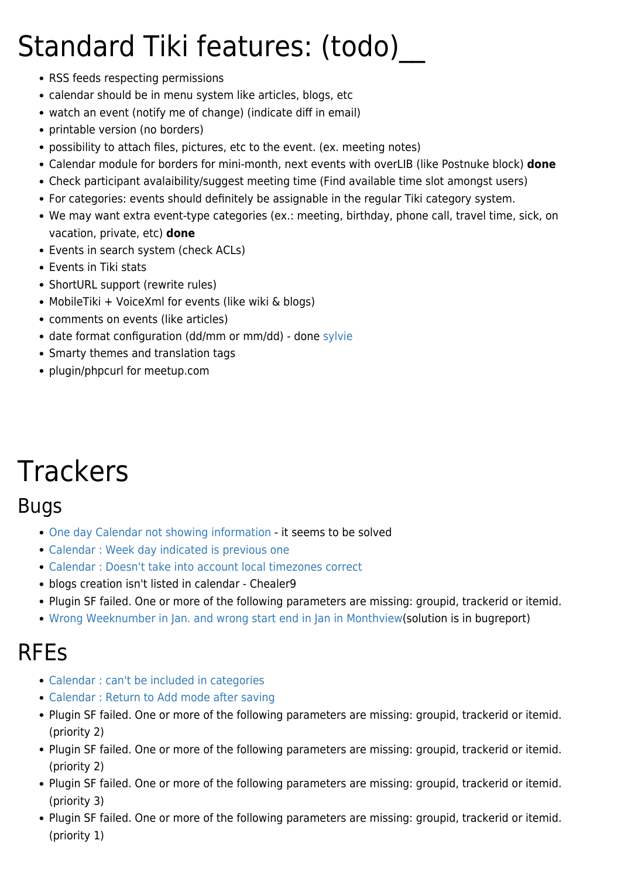## Standard Tiki features: (todo)

- RSS feeds respecting permissions
- calendar should be in menu system like articles, blogs, etc
- watch an event (notify me of change) (indicate diff in email)
- printable version (no borders)
- possibility to attach files, pictures, etc to the event. (ex. meeting notes)
- Calendar module for borders for mini-month, next events with overLIB (like Postnuke block) **done**
- Check participant avalaibility/suggest meeting time (Find available time slot amongst users)
- For categories: events should definitely be assignable in the regular Tiki category system.
- We may want extra event-type categories (ex.: meeting, birthday, phone call, travel time, sick, on vacation, private, etc) **done**
- Events in search system (check ACLs)
- Events in Tiki stats
- ShortURL support (rewrite rules)
- MobileTiki + VoiceXml for events (like wiki & blogs)
- comments on events (like articles)
- date format configuration (dd/mm or mm/dd) done [sylvie](https://tiki.org/sylvie)
- Smarty themes and translation tags
- plugin/phpcurl for meetup.com

## **Trackers**

#### Bugs

- [One day Calendar not showing information](http://sourceforge.net/tracker/index.php?func=detail&aid=945393&group_id=64258&atid=506846) it seems to be solved
- [Calendar : Week day indicated is previous one](http://sourceforge.net/tracker/?group_id=64258&atid=506846&func=detail&aid=863961)
- [Calendar : Doesn't take into account local timezones correct](http://sourceforge.net/tracker/?group_id=64258&atid=506846&func=detail&aid=802102)
- blogs creation isn't listed in calendar Chealer9
- Plugin SF failed. One or more of the following parameters are missing: groupid, trackerid or itemid.
- [Wrong Weeknumber in Jan. and wrong start end in Jan in Monthview](http://sourceforge.net/tracker/index.php?func=detail&aid=1088919&group_id=64258&atid=506846)(solution is in bugreport)

#### RFEs

- [Calendar : can't be included in categories](http://sourceforge.net/tracker/index.php?func=detail&aid=799372&group_id=64258&atid=506849)
- [Calendar : Return to Add mode after saving](http://sourceforge.net/tracker/index.php?func=detail&aid=849956&group_id=64258&atid=506849)
- Plugin SF failed. One or more of the following parameters are missing: groupid, trackerid or itemid. (priority 2)
- Plugin SF failed. One or more of the following parameters are missing: groupid, trackerid or itemid. (priority 2)
- Plugin SF failed. One or more of the following parameters are missing: groupid, trackerid or itemid. (priority 3)
- Plugin SF failed. One or more of the following parameters are missing: groupid, trackerid or itemid. (priority 1)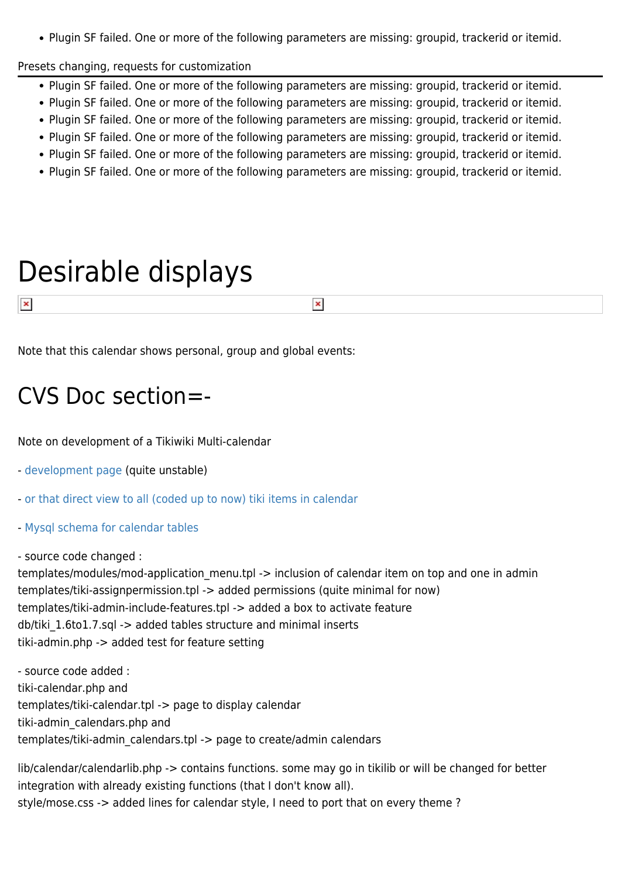Plugin SF failed. One or more of the following parameters are missing: groupid, trackerid or itemid.

Presets changing, requests for customization

- Plugin SF failed. One or more of the following parameters are missing: groupid, trackerid or itemid.
- Plugin SF failed. One or more of the following parameters are missing: groupid, trackerid or itemid.
- Plugin SF failed. One or more of the following parameters are missing: groupid, trackerid or itemid.
- Plugin SF failed. One or more of the following parameters are missing: groupid, trackerid or itemid.
- Plugin SF failed. One or more of the following parameters are missing: groupid, trackerid or itemid.
- Plugin SF failed. One or more of the following parameters are missing: groupid, trackerid or itemid.

 $\pmb{\times}$ 

### Desirable displays

Note that this calendar shows personal, group and global events:

#### CVS Doc section=-

Note on development of a Tikiwiki Multi-calendar

- [development page](tiki-calendar.php) (quite unstable)
- [or that direct view to all \(coded up to now\) tiki items in calendar](https://tiki.org/tiki-calendar.php?submit=Refresh&calIds%5B%5D=1&calIds%5B%5D=2&calIds%5B%5D=3&calIds%5B%5D=4&tikicals%5B%5D=wiki&tikicals%5B%5D=gal&tikicals%5B%5D=art&tikicals%5B%5D=blog&tikicals%5B%5D=forum&tikicals%5B%5D=dir&tikicals%5B%5D=fgal&tikicals%5B%5D=faq&tikicals%5B%5D=quiz&tikicals%5B%5D=track&tikicals%5B%5D=surv)
- [Mysql schema for calendar tables](https://tiki.org/dl7)

- source code changed :

 $\pmb{\times}$ 

templates/modules/mod-application menu.tpl -> inclusion of calendar item on top and one in admin templates/tiki-assignpermission.tpl -> added permissions (quite minimal for now) templates/tiki-admin-include-features.tpl -> added a box to activate feature db/tiki\_1.6to1.7.sql -> added tables structure and minimal inserts tiki-admin.php -> added test for feature setting

- source code added : tiki-calendar.php and templates/tiki-calendar.tpl -> page to display calendar tiki-admin\_calendars.php and templates/tiki-admin\_calendars.tpl -> page to create/admin calendars

lib/calendar/calendarlib.php -> contains functions. some may go in tikilib or will be changed for better integration with already existing functions (that I don't know all). style/mose.css -> added lines for calendar style, I need to port that on every theme ?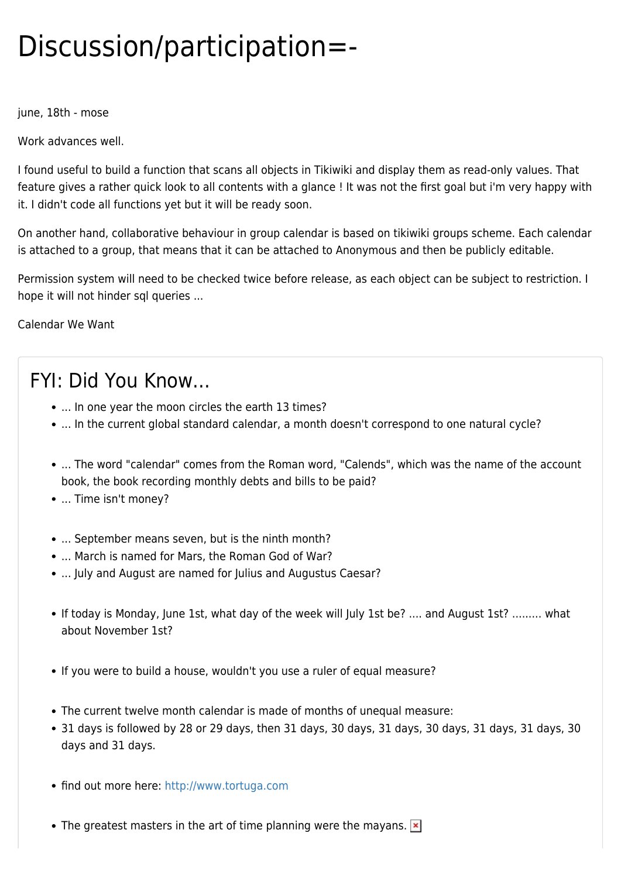## Discussion/participation=-

june, 18th - mose

Work advances well.

I found useful to build a function that scans all objects in Tikiwiki and display them as read-only values. That feature gives a rather quick look to all contents with a glance ! It was not the first goal but i'm very happy with it. I didn't code all functions yet but it will be ready soon.

On another hand, collaborative behaviour in group calendar is based on tikiwiki groups scheme. Each calendar is attached to a group, that means that it can be attached to Anonymous and then be publicly editable.

Permission system will need to be checked twice before release, as each object can be subject to restriction. I hope it will not hinder sql queries ...

[Calendar We Want](https://tiki.org/tiki-editpage.php?page=Calendar+We+Want)

#### FYI: Did You Know...

- ... In one year the moon circles the earth 13 times?
- ... In the current global standard calendar, a month doesn't correspond to one natural cycle?
- ... The word "calendar" comes from the Roman word, "Calends", which was the name of the account book, the book recording monthly debts and bills to be paid?
- ... Time isn't money?
- ... September means seven, but is the ninth month?
- ... March is named for Mars, the Roman God of War?
- ... July and August are named for Julius and Augustus Caesar?
- If today is Monday, June 1st, what day of the week will July 1st be? .... and August 1st? ......... what about November 1st?
- If you were to build a house, wouldn't you use a ruler of equal measure?
- The current twelve month calendar is made of months of unequal measure:
- 31 days is followed by 28 or 29 days, then 31 days, 30 days, 31 days, 30 days, 31 days, 31 days, 30 days and 31 days.
- find out more here:<http://www.tortuga.com>
- The greatest masters in the art of time planning were the mayans.  $\overline{\phantom{a}}$